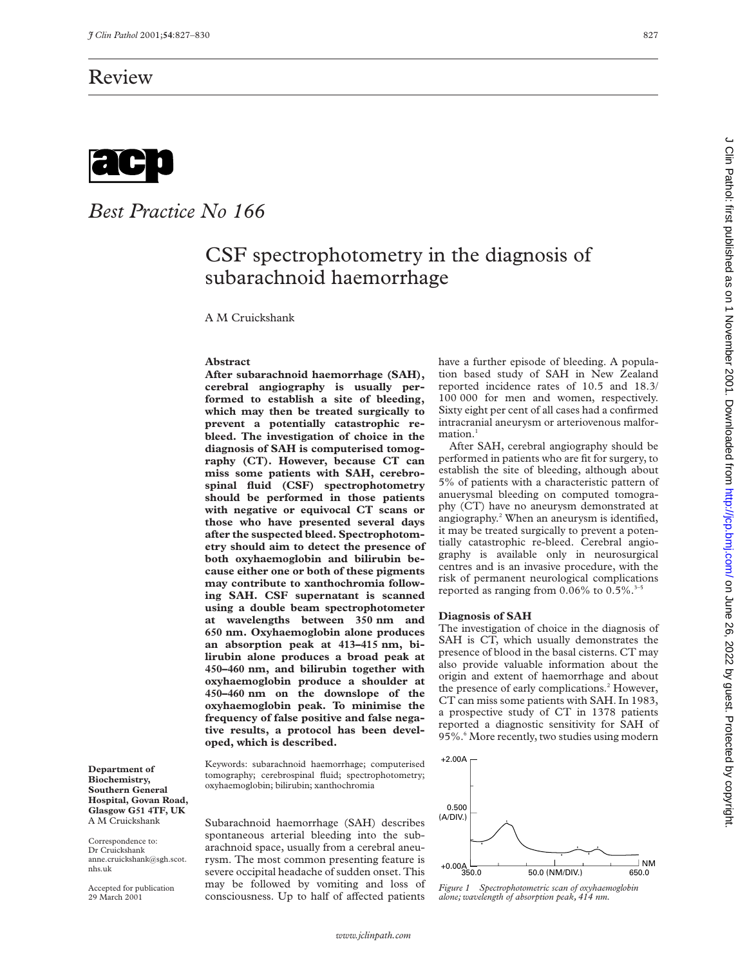

# *Best Practice No 166*

## CSF spectrophotometry in the diagnosis of subarachnoid haemorrhage

A M Cruickshank

#### **Abstract**

**After subarachnoid haemorrhage (SAH), cerebral angiography is usually performed to establish a site of bleeding, which may then be treated surgically to prevent a potentially catastrophic rebleed. The investigation of choice in the diagnosis of SAH is computerised tomography (CT). However, because CT can miss some patients with SAH, cerebrospinal fluid (CSF) spectrophotometry should be performed in those patients with negative or equivocal CT scans or those who have presented several days after the suspected bleed. Spectrophotometry should aim to detect the presence of both oxyhaemoglobin and bilirubin because either one or both of these pigments may contribute to xanthochromia following SAH. CSF supernatant is scanned using a double beam spectrophotometer at wavelengths between 350 nm and 650 nm. Oxyhaemoglobin alone produces an absorption peak at 413–415 nm, bilirubin alone produces a broad peak at 450–460 nm, and bilirubin together with oxyhaemoglobin produce a shoulder at 450–460 nm on the downslope of the oxyhaemoglobin peak. To minimise the frequency of false positive and false negative results, a protocol has been developed, which is described.**

Keywords: subarachnoid haemorrhage; computerised tomography; cerebrospinal fluid; spectrophotometry; oxyhaemoglobin; bilirubin; xanthochromia

**Biochemistry, Southern General Hospital, Govan Road, Glasgow G51 4TF, UK** A M Cruickshank

**Department of**

Correspondence to: Dr Cruickshank anne.cruickshank@sgh.scot. nhs.uk

Accepted for publication 29 March 2001

Subarachnoid haemorrhage (SAH) describes spontaneous arterial bleeding into the subarachnoid space, usually from a cerebral aneurysm. The most common presenting feature is severe occipital headache of sudden onset. This may be followed by vomiting and loss of consciousness. Up to half of affected patients

have a further episode of bleeding. A population based study of SAH in New Zealand reported incidence rates of 10.5 and 18.3/ 100 000 for men and women, respectively. Sixty eight per cent of all cases had a confirmed intracranial aneurysm or arteriovenous malfor $mation.<sup>1</sup>$ 

After SAH, cerebral angiography should be performed in patients who are fit for surgery, to establish the site of bleeding, although about 5% of patients with a characteristic pattern of anuerysmal bleeding on computed tomography (CT) have no aneurysm demonstrated at angiography.2 When an aneurysm is identified, it may be treated surgically to prevent a potentially catastrophic re-bleed. Cerebral angiography is available only in neurosurgical centres and is an invasive procedure, with the risk of permanent neurological complications reported as ranging from  $0.06\%$  to  $0.5\%$ .<sup>3-5</sup>

## **Diagnosis of SAH**

The investigation of choice in the diagnosis of SAH is CT, which usually demonstrates the presence of blood in the basal cisterns. CT may also provide valuable information about the origin and extent of haemorrhage and about the presence of early complications.<sup>2</sup> However, CT can miss some patients with SAH. In 1983, a prospective study of CT in 1378 patients reported a diagnostic sensitivity for SAH of 95%.<sup>6</sup> More recently, two studies using modern



*Figure 1 Spectrophotometric scan of oxyhaemoglobin alone; wavelength of absorption peak, 414 nm.*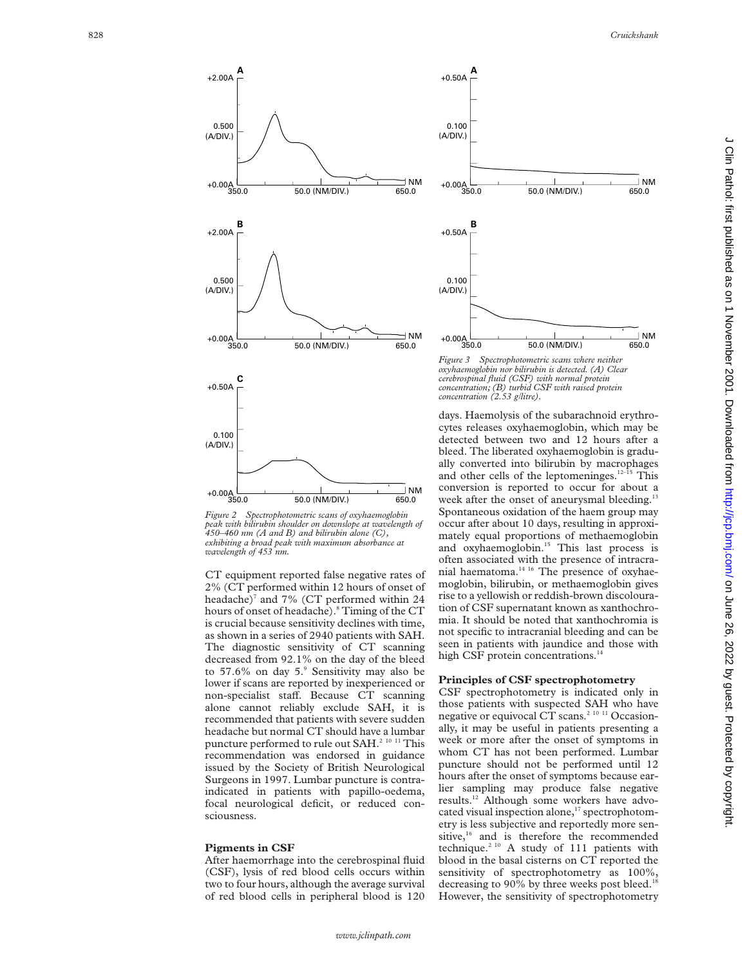

*Figure 2 Spectrophotometric scans of oxyhaemoglobin peak with bilirubin shoulder on downslope at wavelength of 450–460 nm (A and B) and bilirubin alone (C), exhibiting a broad peak with maximum absorbance at wavelength of 453 nm.*

CT equipment reported false negative rates of 2% (CT performed within 12 hours of onset of headache) <sup>7</sup> and 7% (CT performed within 24 hours of onset of headache). <sup>8</sup> Timing of the CT is crucial because sensitivity declines with time, as shown in a series of 2940 patients with SAH. The diagnostic sensitivity of CT scanning decreased from 92.1% on the day of the bleed to 57.6% on day 5. <sup>9</sup> Sensitivity may also be lower if scans are reported by inexperienced or non-specialist staff. Because CT scanning alone cannot reliably exclude SAH, it is recommended that patients with severe sudden headache but normal CT should have a lumbar puncture performed to rule out SAH.2 10 11 This recommendation was endorsed in guidance issued by the Society of British Neurological Surgeons in 1997. Lumbar puncture is contraindicated in patients with papillo-oedema, focal neurological deficit, or reduced consciousness.

#### **Pigments in CSF**

After haemorrhage into the cerebrospinal fluid (CSF), lysis of red blood cells occurs within two to four hours, although the average survival of red blood cells in peripheral blood is 120



*Figure 3 Spectrophotometric scans where neither oxyhaemoglobin nor bilirubin is detected. (A) Clear cerebrospinal fluid (CSF) with normal protein concentration; (B) turbid CSF with raised protein concentration (2.53 g/litre).*

days. Haemolysis of the subarachnoid erythrocytes releases oxyhaemoglobin, which may be detected between two and 12 hours after a bleed. The liberated oxyhaemoglobin is gradually converted into bilirubin by macrophages and other cells of the leptomeninges.<sup>12-15</sup> This conversion is reported to occur for about a week after the onset of aneurysmal bleeding.<sup>13</sup> Spontaneous oxidation of the haem group may occur after about 10 days, resulting in approximately equal proportions of methaemoglobin and oxyhaemoglobin.<sup>15</sup> This last process is often associated with the presence of intracranial haematoma.<sup>14 16</sup> The presence of oxyhaemoglobin, bilirubin, or methaemoglobin gives rise to a yellowish or reddish-brown discolouration of CSF supernatant known as xanthochromia. It should be noted that xanthochromia is not specific to intracranial bleeding and can be seen in patients with jaundice and those with high CSF protein concentrations.<sup>14</sup>

### **Principles of CSF spectrophotometry**

CSF spectrophotometry is indicated only in those patients with suspected SAH who have negative or equivocal CT scans.<sup>2 10 11</sup> Occasionally, it may be useful in patients presenting a week or more after the onset of symptoms in whom CT has not been performed. Lumbar puncture should not be performed until 12 hours after the onset of symptoms because earlier sampling may produce false negative results.12 Although some workers have advocated visual inspection alone,<sup>17</sup> spectrophotometry is less subjective and reportedly more sensitive,<sup>16</sup> and is therefore the recommended technique.<sup>2 10</sup> A study of 111 patients with blood in the basal cisterns on CT reported the sensitivity of spectrophotometry as  $100\%$ , decreasing to 90% by three weeks post bleed.<sup>18</sup> However, the sensitivity of spectrophotometry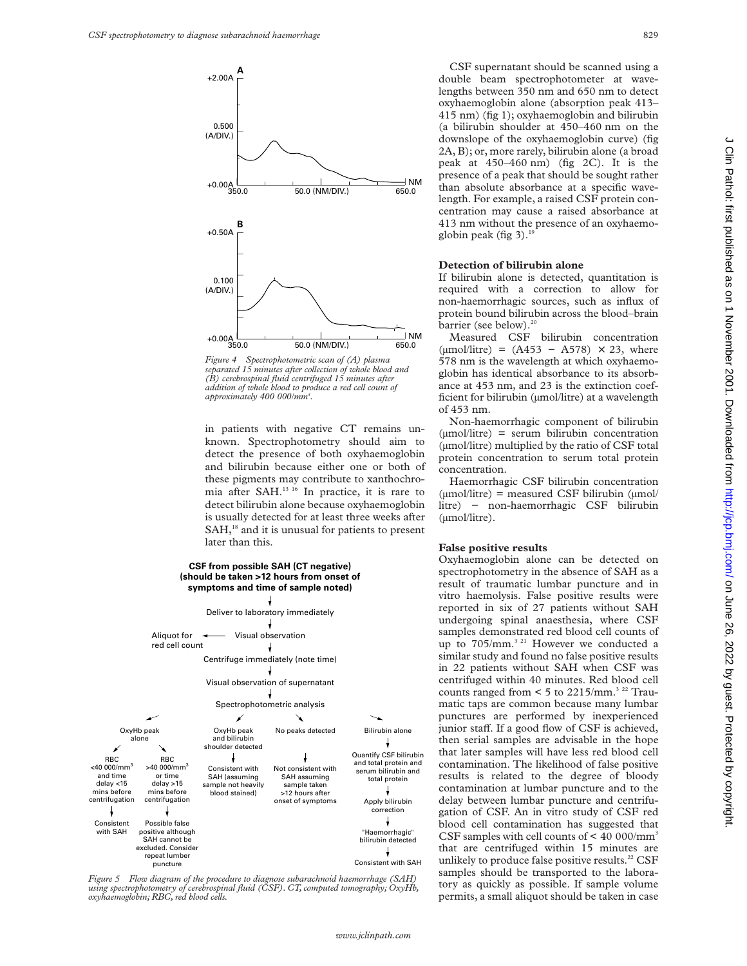

*Figure 4 Spectrophotometric scan of (A) plasma separated 15 minutes after collection of whole blood and (B) cerebrospinal fluid centrifuged 15 minutes after addition of whole blood to produce a red cell count of approximately 400 000/mm3 .*

in patients with negative CT remains unknown. Spectrophotometry should aim to detect the presence of both oxyhaemoglobin and bilirubin because either one or both of these pigments may contribute to xanthochromia after SAH.<sup>13 16</sup> In practice, it is rare to detect bilirubin alone because oxyhaemoglobin is usually detected for at least three weeks after SAH,<sup>18</sup> and it is unusual for patients to present later than this.

#### **CSF from possible SAH (CT negative) (should be taken >12 hours from onset of symptoms and time of sample noted)**



*Figure 5 Flow diagram of the procedure to diagnose subarachnoid haemorrhage (SAH) using spectrophotometry of cerebrospinal fluid (CSF). CT, computed tomography; OxyHb, oxyhaemoglobin; RBC, red blood cells.*

CSF supernatant should be scanned using a double beam spectrophotometer at wavelengths between 350 nm and 650 nm to detect oxyhaemoglobin alone (absorption peak 413– 415 nm) (fig 1); oxyhaemoglobin and bilirubin (a bilirubin shoulder at 450–460 nm on the downslope of the oxyhaemoglobin curve) (fig 2A, B); or, more rarely, bilirubin alone (a broad peak at 450–460 nm) (fig 2C). It is the presence of a peak that should be sought rather than absolute absorbance at a specific wavelength. For example, a raised CSF protein concentration may cause a raised absorbance at 413 nm without the presence of an oxyhaemoglobin peak (fig 3). $^{19}$ 

#### **Detection of bilirubin alone**

If bilirubin alone is detected, quantitation is required with a correction to allow for non-haemorrhagic sources, such as influx of protein bound bilirubin across the blood–brain barrier (see below).<sup>20</sup>

Measured CSF bilirubin concentration  $(\mu \text{mol/litre}) = (A453 - A578) \times 23$ , where 578 nm is the wavelength at which oxyhaemoglobin has identical absorbance to its absorbance at 453 nm, and 23 is the extinction coefficient for bilirubin (µmol/litre) at a wavelength of 453 nm.

Non-haemorrhagic component of bilirubin (µmol/litre) = serum bilirubin concentration (µmol/litre) multiplied by the ratio of CSF total protein concentration to serum total protein concentration.

Haemorrhagic CSF bilirubin concentration  $(\mu \text{mol/litre})$  = measured CSF bilirubin  $(\mu \text{mol/l$ litre) − non-haemorrhagic CSF bilirubin (µmol/litre).

## **False positive results**

Oxyhaemoglobin alone can be detected on spectrophotometry in the absence of SAH as a result of traumatic lumbar puncture and in vitro haemolysis. False positive results were reported in six of 27 patients without SAH undergoing spinal anaesthesia, where CSF samples demonstrated red blood cell counts of up to 705/mm.<sup>3 21</sup> However we conducted a similar study and found no false positive results in 22 patients without SAH when CSF was centrifuged within 40 minutes. Red blood cell counts ranged from  $\leq 5$  to 2215/mm.<sup>3 22</sup> Traumatic taps are common because many lumbar punctures are performed by inexperienced junior staff. If a good flow of CSF is achieved, then serial samples are advisable in the hope that later samples will have less red blood cell contamination. The likelihood of false positive results is related to the degree of bloody contamination at lumbar puncture and to the delay between lumbar puncture and centrifugation of CSF. An in vitro study of CSF red blood cell contamination has suggested that CSF samples with cell counts of  $\leq 40000$ /mm<sup>3</sup> that are centrifuged within 15 minutes are unlikely to produce false positive results.<sup>22</sup> CSF samples should be transported to the laboratory as quickly as possible. If sample volume permits, a small aliquot should be taken in case